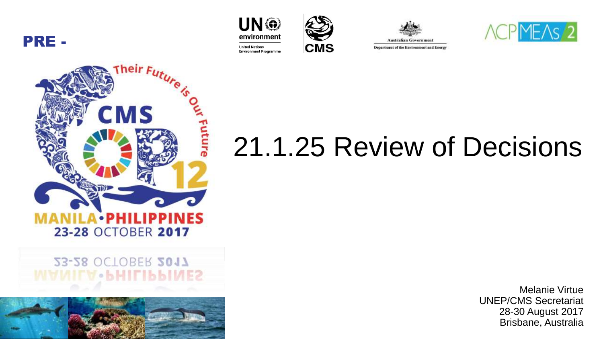PRE -











#### 23-28 OCTOBER 2017  $-5HIFIB$



## 21.1.25 Review of Decisions

Melanie Virtue UNEP/CMS Secretariat 28-30 August 2017 Brisbane, Australia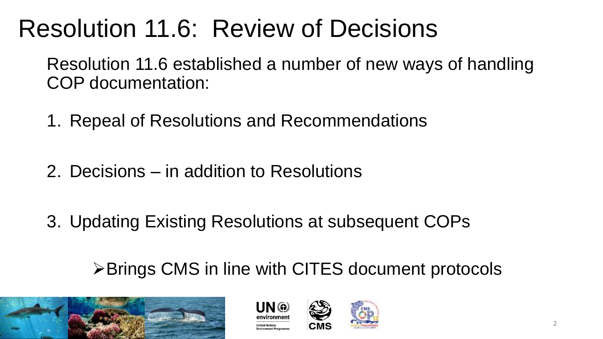#### Resolution 11.6: Review of Decisions

Resolution 11.6 established a number of new ways of handling COP documentation:

- 1. Repeal of Resolutions and Recommendations
- 2. Decisions in addition to Resolutions
- 3. Updating Existing Resolutions at subsequent COPs

#### ➢Brings CMS in line with CITES document protocols





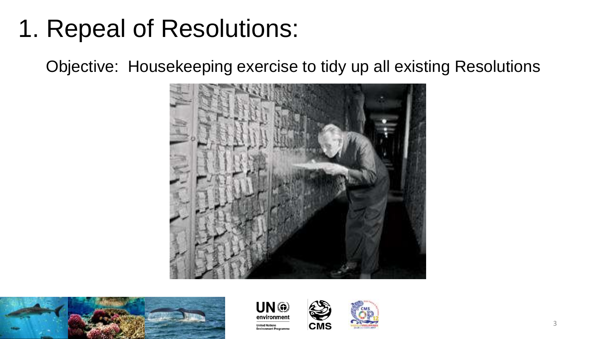#### 1. Repeal of Resolutions:

Objective: Housekeeping exercise to tidy up all existing Resolutions









3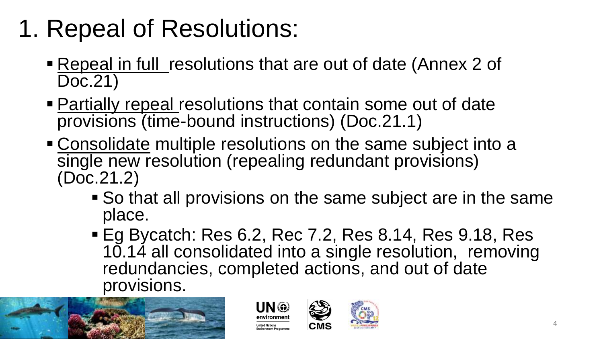### 1. Repeal of Resolutions:

- Repeal in full resolutions that are out of date (Annex 2 of Doc.21)
- Partially repeal resolutions that contain some out of date provisions (time-bound instructions) (Doc.21.1)
- Consolidate multiple resolutions on the same subject into a single new resolution (repealing redundant provisions) (Doc.21.2)
	- So that all provisions on the same subject are in the same place.
	- Eg Bycatch: Res 6.2, Rec 7.2, Res 8.14, Res 9.18, Res 10.14 all consolidated into a single resolution, removing redundancies, completed actions, and out of date provisions.





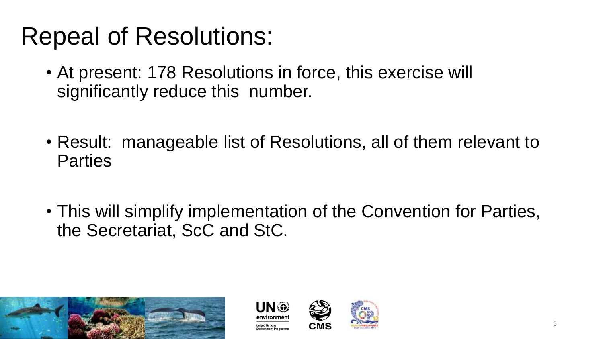#### Repeal of Resolutions:

- At present: 178 Resolutions in force, this exercise will significantly reduce this number.
- Result: manageable list of Resolutions, all of them relevant to **Parties**
- This will simplify implementation of the Convention for Parties, the Secretariat, ScC and StC.





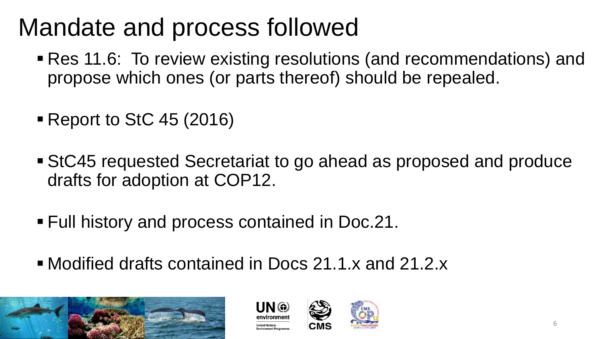#### Mandate and process followed

- Res 11.6: To review existing resolutions (and recommendations) and propose which ones (or parts thereof) should be repealed.
- $\blacksquare$  Report to StC 45 (2016)
- StC45 requested Secretariat to go ahead as proposed and produce drafts for adoption at COP12.
- Full history and process contained in Doc.21.
- Modified drafts contained in Docs 21.1.x and 21.2.x





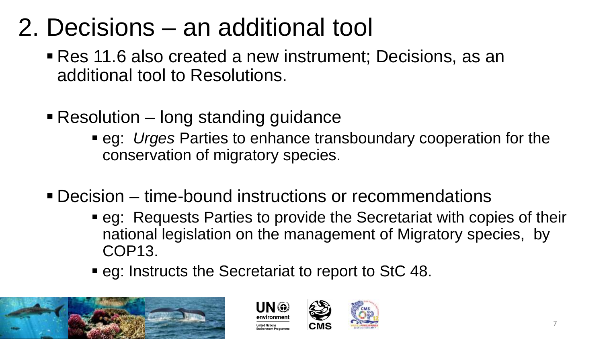### 2. Decisions – an additional tool

- Res 11.6 also created a new instrument; Decisions, as an additional tool to Resolutions.
- $\blacksquare$  Resolution long standing guidance
	- eg: *Urges* Parties to enhance transboundary cooperation for the conservation of migratory species.
- Decision time-bound instructions or recommendations
	- eg: Requests Parties to provide the Secretariat with copies of their national legislation on the management of Migratory species, by COP13.
	- eg: Instructs the Secretariat to report to StC 48.





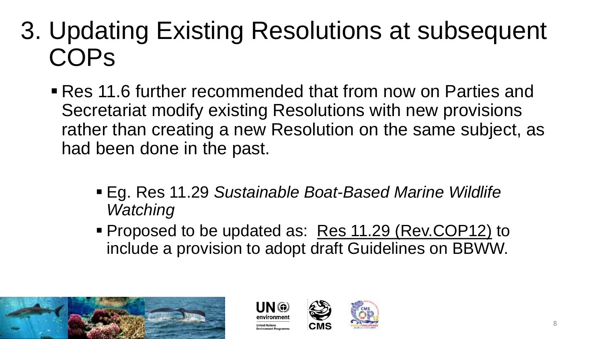#### 3. Updating Existing Resolutions at subsequent COPs

- Res 11.6 further recommended that from now on Parties and Secretariat modify existing Resolutions with new provisions rather than creating a new Resolution on the same subject, as had been done in the past.
	- Eg. Res 11.29 *Sustainable Boat-Based Marine Wildlife Watching*
	- **Proposed to be updated as: Res 11.29 (Rev.COP12) to** include a provision to adopt draft Guidelines on BBWW.





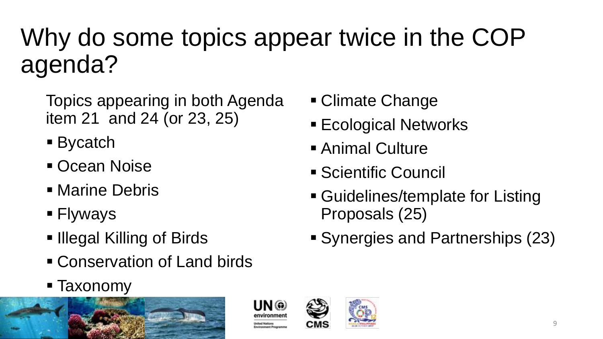### Why do some topics appear twice in the COP agenda?

Topics appearing in both Agenda item 21 and 24 (or 23, 25)

- Bycatch
- Ocean Noise
- **Marine Debris**
- Flyways
- Illegal Killing of Birds
- Conservation of Land birds
- Taxonomy









#### ■ Climate Change

- Ecological Networks
- **E** Animal Culture
- Scientific Council
- Guidelines/template for Listing Proposals (25)
- Synergies and Partnerships (23)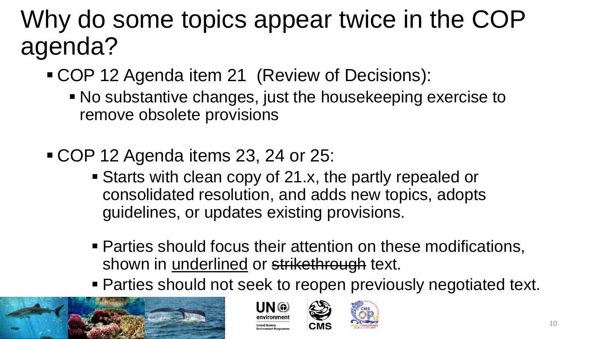### Why do some topics appear twice in the COP agenda?

- COP 12 Agenda item 21 (Review of Decisions):
	- No substantive changes, just the housekeeping exercise to remove obsolete provisions
- COP 12 Agenda items 23, 24 or 25:
	- Starts with clean copy of 21.x, the partly repealed or consolidated resolution, and adds new topics, adopts guidelines, or updates existing provisions.
	- Parties should focus their attention on these modifications, shown in <u>underlined</u> or strikethrough text.
	- Parties should not seek to reopen previously negotiated text.